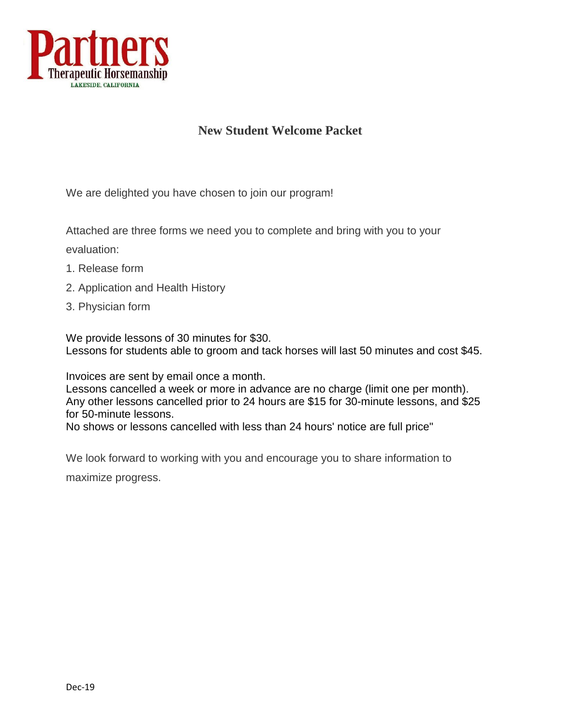

### **New Student Welcome Packet**

We are delighted you have chosen to join our program!

Attached are three forms we need you to complete and bring with you to your

evaluation:

- 1. Release form
- 2. Application and Health History
- 3. Physician form

We provide lessons of 30 minutes for \$30. Lessons for students able to groom and tack horses will last 50 minutes and cost \$45.

Invoices are sent by email once a month.

Lessons cancelled a week or more in advance are no charge (limit one per month). Any other lessons cancelled prior to 24 hours are \$15 for 30-minute lessons, and \$25 for 50-minute lessons.

No shows or lessons cancelled with less than 24 hours' notice are full price"

We look forward to working with you and encourage you to share information to

maximize progress.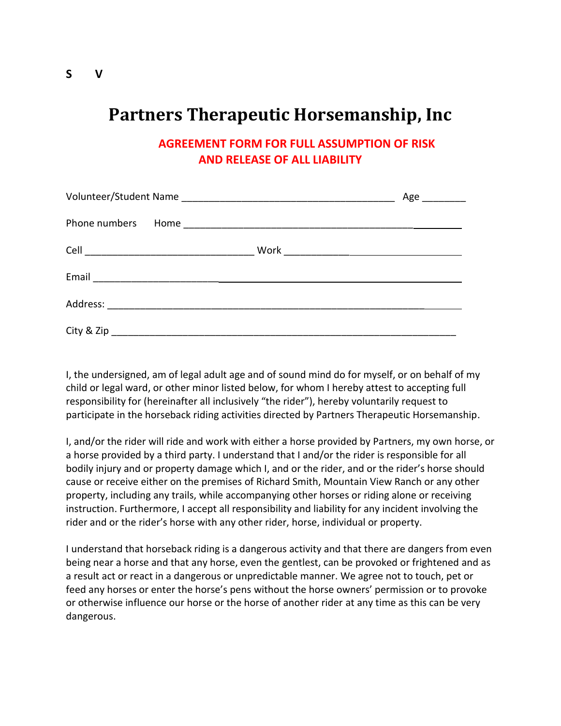## **Partners Therapeutic Horsemanship, Inc**

**AGREEMENT FORM FOR FULL ASSUMPTION OF RISK AND RELEASE OF ALL LIABILITY**

|  | $Age$ <sub>___________</sub> |
|--|------------------------------|
|  |                              |
|  |                              |
|  |                              |
|  |                              |
|  |                              |

I, the undersigned, am of legal adult age and of sound mind do for myself, or on behalf of my child or legal ward, or other minor listed below, for whom I hereby attest to accepting full responsibility for (hereinafter all inclusively "the rider"), hereby voluntarily request to participate in the horseback riding activities directed by Partners Therapeutic Horsemanship.

I, and/or the rider will ride and work with either a horse provided by Partners, my own horse, or a horse provided by a third party. I understand that I and/or the rider is responsible for all bodily injury and or property damage which I, and or the rider, and or the rider's horse should cause or receive either on the premises of Richard Smith, Mountain View Ranch or any other property, including any trails, while accompanying other horses or riding alone or receiving instruction. Furthermore, I accept all responsibility and liability for any incident involving the rider and or the rider's horse with any other rider, horse, individual or property.

I understand that horseback riding is a dangerous activity and that there are dangers from even being near a horse and that any horse, even the gentlest, can be provoked or frightened and as a result act or react in a dangerous or unpredictable manner. We agree not to touch, pet or feed any horses or enter the horse's pens without the horse owners' permission or to provoke or otherwise influence our horse or the horse of another rider at any time as this can be very dangerous.

**S V**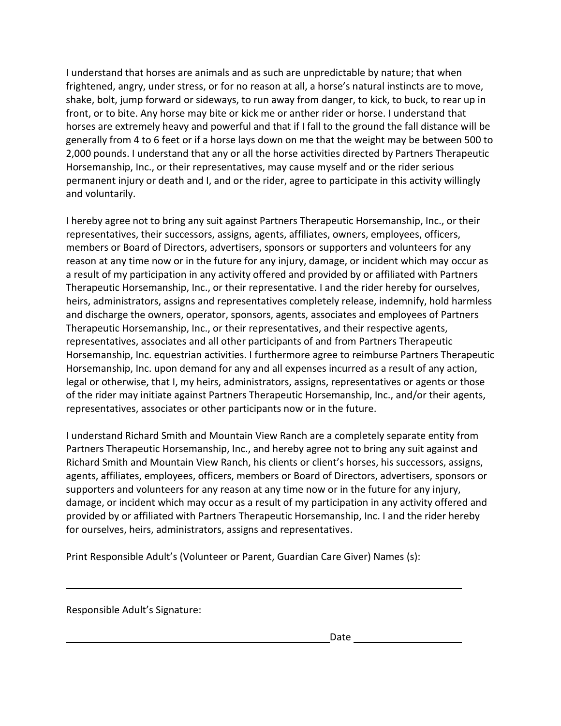I understand that horses are animals and as such are unpredictable by nature; that when frightened, angry, under stress, or for no reason at all, a horse's natural instincts are to move, shake, bolt, jump forward or sideways, to run away from danger, to kick, to buck, to rear up in front, or to bite. Any horse may bite or kick me or anther rider or horse. I understand that horses are extremely heavy and powerful and that if I fall to the ground the fall distance will be generally from 4 to 6 feet or if a horse lays down on me that the weight may be between 500 to 2,000 pounds. I understand that any or all the horse activities directed by Partners Therapeutic Horsemanship, Inc., or their representatives, may cause myself and or the rider serious permanent injury or death and I, and or the rider, agree to participate in this activity willingly and voluntarily.

I hereby agree not to bring any suit against Partners Therapeutic Horsemanship, Inc., or their representatives, their successors, assigns, agents, affiliates, owners, employees, officers, members or Board of Directors, advertisers, sponsors or supporters and volunteers for any reason at any time now or in the future for any injury, damage, or incident which may occur as a result of my participation in any activity offered and provided by or affiliated with Partners Therapeutic Horsemanship, Inc., or their representative. I and the rider hereby for ourselves, heirs, administrators, assigns and representatives completely release, indemnify, hold harmless and discharge the owners, operator, sponsors, agents, associates and employees of Partners Therapeutic Horsemanship, Inc., or their representatives, and their respective agents, representatives, associates and all other participants of and from Partners Therapeutic Horsemanship, Inc. equestrian activities. I furthermore agree to reimburse Partners Therapeutic Horsemanship, Inc. upon demand for any and all expenses incurred as a result of any action, legal or otherwise, that I, my heirs, administrators, assigns, representatives or agents or those of the rider may initiate against Partners Therapeutic Horsemanship, Inc., and/or their agents, representatives, associates or other participants now or in the future.

I understand Richard Smith and Mountain View Ranch are a completely separate entity from Partners Therapeutic Horsemanship, Inc., and hereby agree not to bring any suit against and Richard Smith and Mountain View Ranch, his clients or client's horses, his successors, assigns, agents, affiliates, employees, officers, members or Board of Directors, advertisers, sponsors or supporters and volunteers for any reason at any time now or in the future for any injury, damage, or incident which may occur as a result of my participation in any activity offered and provided by or affiliated with Partners Therapeutic Horsemanship, Inc. I and the rider hereby for ourselves, heirs, administrators, assigns and representatives.

Print Responsible Adult's (Volunteer or Parent, Guardian Care Giver) Names (s):

Responsible Adult's Signature: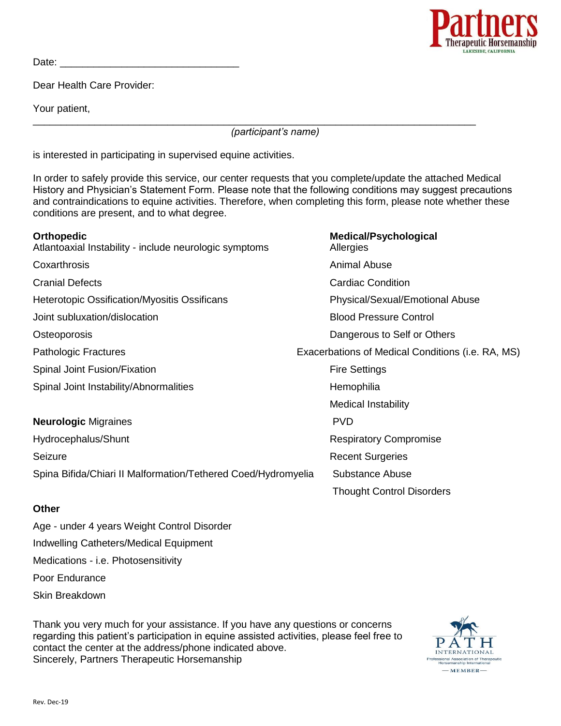

Date:  $\Box$ 

Dear Health Care Provider:

Your patient,

\_\_\_\_\_\_\_\_\_\_\_\_\_\_\_\_\_\_\_\_\_\_\_\_\_\_\_\_\_\_\_\_\_\_\_\_\_\_\_\_\_\_\_\_\_\_\_\_\_\_\_\_\_\_\_\_\_\_\_\_\_\_\_\_\_\_\_\_\_\_\_\_\_\_\_\_\_\_\_ *(participant's name)* 

is interested in participating in supervised equine activities.

In order to safely provide this service, our center requests that you complete/update the attached Medical History and Physician's Statement Form. Please note that the following conditions may suggest precautions and contraindications to equine activities. Therefore, when completing this form, please note whether these conditions are present, and to what degree.

| <b>Orthopedic</b><br>Atlantoaxial Instability - include neurologic symptoms | <b>Medical/Psychological</b><br>Allergies         |
|-----------------------------------------------------------------------------|---------------------------------------------------|
| Coxarthrosis                                                                | Animal Abuse                                      |
| <b>Cranial Defects</b>                                                      | <b>Cardiac Condition</b>                          |
| <b>Heterotopic Ossification/Myositis Ossificans</b>                         | Physical/Sexual/Emotional Abuse                   |
| Joint subluxation/dislocation                                               | <b>Blood Pressure Control</b>                     |
| Osteoporosis                                                                | Dangerous to Self or Others                       |
| <b>Pathologic Fractures</b>                                                 | Exacerbations of Medical Conditions (i.e. RA, MS) |
| Spinal Joint Fusion/Fixation                                                | <b>Fire Settings</b>                              |
| Spinal Joint Instability/Abnormalities                                      | Hemophilia                                        |
|                                                                             | <b>Medical Instability</b>                        |
| <b>Neurologic Migraines</b>                                                 | <b>PVD</b>                                        |
| Hydrocephalus/Shunt                                                         | <b>Respiratory Compromise</b>                     |
| Seizure                                                                     | <b>Recent Surgeries</b>                           |
| Spina Bifida/Chiari II Malformation/Tethered Coed/Hydromyelia               | Substance Abuse                                   |
|                                                                             | <b>Thought Control Disorders</b>                  |

#### **Other**

Age - under 4 years Weight Control Disorder Indwelling Catheters/Medical Equipment Medications - i.e. Photosensitivity Poor Endurance Skin Breakdown

Thank you very much for your assistance. If you have any questions or concerns regarding this patient's participation in equine assisted activities, please feel free to contact the center at the address/phone indicated above. Sincerely, Partners Therapeutic Horsemanship

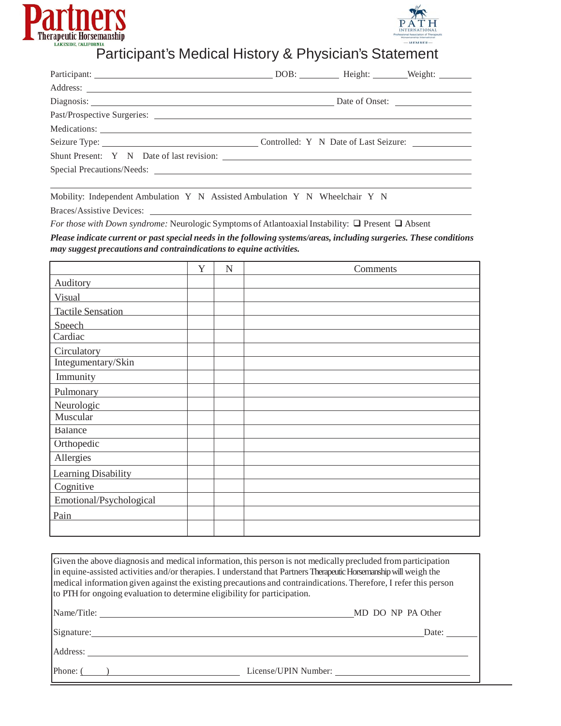



## Participant's Medical History & Physician's Statement

| Diagnosis: Diagnosis: Diagnosis: Diagnosis: Diagnosis: Diagnosis: Diagnosis: Diagnosis: Diagnosis: Diagnosis: Diagnosis: Diagnosis: Diagnosis: Diagnosis: Diagnosis: Diagnosis: Diagnosis: Diagnosis: Diagnosis: Diagnosis: Di |
|--------------------------------------------------------------------------------------------------------------------------------------------------------------------------------------------------------------------------------|
|                                                                                                                                                                                                                                |
|                                                                                                                                                                                                                                |
|                                                                                                                                                                                                                                |
|                                                                                                                                                                                                                                |
|                                                                                                                                                                                                                                |
|                                                                                                                                                                                                                                |

Mobility: Independent Ambulation Y N Assisted Ambulation Y N Wheelchair Y N

Braces/Assistive Devices:

*For those with Down syndrome:* Neurologic Symptoms of Atlantoaxial Instability:  $\Box$  Present  $\Box$  Absent

*Please indicate current or past special needs in the following systems/areas, including surgeries. These conditions may suggest precautions and contraindications to equine activities.*

|                            | Y | N | Comments |
|----------------------------|---|---|----------|
| Auditory                   |   |   |          |
| Visual                     |   |   |          |
| <b>Tactile Sensation</b>   |   |   |          |
| Speech                     |   |   |          |
| Cardiac                    |   |   |          |
| Circulatory                |   |   |          |
| Integumentary/Skin         |   |   |          |
| Immunity                   |   |   |          |
| Pulmonary                  |   |   |          |
| Neurologic                 |   |   |          |
| Muscular                   |   |   |          |
| Balance                    |   |   |          |
| Orthopedic                 |   |   |          |
| Allergies                  |   |   |          |
| <b>Learning Disability</b> |   |   |          |
| Cognitive                  |   |   |          |
| Emotional/Psychological    |   |   |          |
| Pain                       |   |   |          |
|                            |   |   |          |

| Given the above diagnosis and medical information, this person is not medically precluded from participation<br>in equine-assisted activities and/or therapies. I understand that Partners Therapeutic Horsemanship will weigh the<br>medical information given against the existing precautions and contraindications. Therefore, I refer this person<br>to PTH for ongoing evaluation to determine eligibility for participation. |                   |
|-------------------------------------------------------------------------------------------------------------------------------------------------------------------------------------------------------------------------------------------------------------------------------------------------------------------------------------------------------------------------------------------------------------------------------------|-------------------|
| Name/Title:                                                                                                                                                                                                                                                                                                                                                                                                                         | MD DO NP PA Other |
| Signature:                                                                                                                                                                                                                                                                                                                                                                                                                          | Date:             |
| Address:                                                                                                                                                                                                                                                                                                                                                                                                                            |                   |
| Phone: $($<br>License/UPIN Number:                                                                                                                                                                                                                                                                                                                                                                                                  |                   |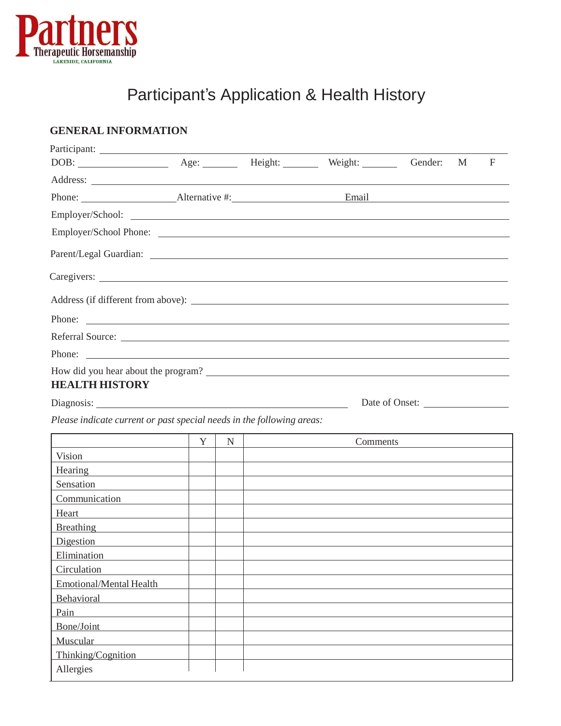

# Participant's Application & Health History

### **GENERAL INFORMATION**

| Participant:                                                                                                                                                                                                                   |   |           |          |                |   |              |
|--------------------------------------------------------------------------------------------------------------------------------------------------------------------------------------------------------------------------------|---|-----------|----------|----------------|---|--------------|
|                                                                                                                                                                                                                                |   |           |          |                | M | $\mathbf{F}$ |
|                                                                                                                                                                                                                                |   |           |          |                |   |              |
|                                                                                                                                                                                                                                |   |           |          |                |   |              |
|                                                                                                                                                                                                                                |   |           |          |                |   |              |
|                                                                                                                                                                                                                                |   |           |          |                |   |              |
|                                                                                                                                                                                                                                |   |           |          |                |   |              |
|                                                                                                                                                                                                                                |   |           |          |                |   |              |
|                                                                                                                                                                                                                                |   |           |          |                |   |              |
| Phone:                                                                                                                                                                                                                         |   |           |          |                |   |              |
|                                                                                                                                                                                                                                |   |           |          |                |   |              |
| Phone:                                                                                                                                                                                                                         |   |           |          |                |   |              |
| <b>HEALTH HISTORY</b>                                                                                                                                                                                                          |   |           |          | Date of Onset: |   |              |
| Please indicate current or past special needs in the following areas:                                                                                                                                                          |   |           |          |                |   |              |
|                                                                                                                                                                                                                                | Y | $N_{\rm}$ | Comments |                |   |              |
| Vision                                                                                                                                                                                                                         |   |           |          |                |   |              |
| Hearing                                                                                                                                                                                                                        |   |           |          |                |   |              |
| Sensation                                                                                                                                                                                                                      |   |           |          |                |   |              |
| Communication                                                                                                                                                                                                                  |   |           |          |                |   |              |
| Heart<br><u> 1989 - Andrea State Barbara, poeta esp</u>                                                                                                                                                                        |   |           |          |                |   |              |
| Breathing Present Present Present Present Present Present Present Present Present Present Present Present Present Present Present Present Present Present Present Present Present Present Present Present Present Present Pres |   |           |          |                |   |              |
| Digestion                                                                                                                                                                                                                      |   |           |          |                |   |              |
| Elimination                                                                                                                                                                                                                    |   |           |          |                |   |              |
| Circulation                                                                                                                                                                                                                    |   |           |          |                |   |              |
| Emotional/Mental Health                                                                                                                                                                                                        |   |           |          |                |   |              |
| Behavioral                                                                                                                                                                                                                     |   |           |          |                |   |              |
| Pain                                                                                                                                                                                                                           |   |           |          |                |   |              |
| Bone/Joint                                                                                                                                                                                                                     |   |           |          |                |   |              |
| Muscular                                                                                                                                                                                                                       |   |           |          |                |   |              |
| Thinking/Cognition                                                                                                                                                                                                             |   |           |          |                |   |              |
| Allergies                                                                                                                                                                                                                      |   |           |          |                |   |              |